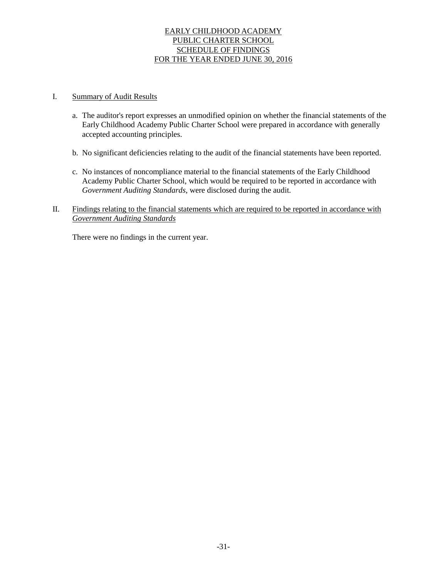EARLY CHILDHOOD ACADEMY PUBLIC CHARTER SCHOOL

WASHINGTON, DC

COMPARATIVE AUDIT REPORT

--------------------------------------------

FOR THE YEARS ENDED JUNE 30, 2016 AND 2015

## **KENDALL, PREBOLA AND JONES**

Certified Public Accountants PO BOX 259 BEDFORD, PENNSYLVANIA 15522-0259 (814) 623-1880 FAX (814) 623-7548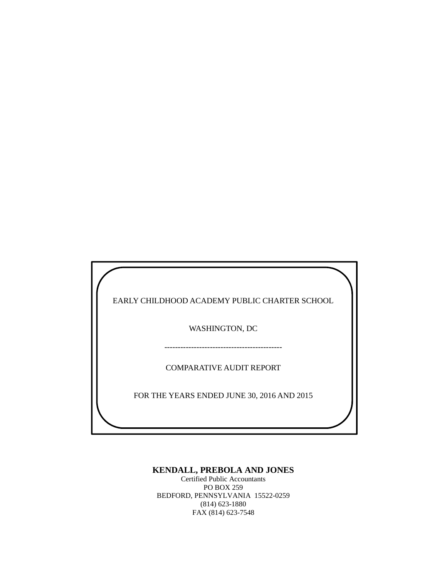## I N D E X

|                                                                                                                                                                                                                          | Page           |
|--------------------------------------------------------------------------------------------------------------------------------------------------------------------------------------------------------------------------|----------------|
| <b>Independent Auditor's Report</b>                                                                                                                                                                                      | $1-2$          |
| Comparative Statements of Financial Position, June 30, 2016 and 2015                                                                                                                                                     | 3              |
| Comparative Statements of Activities, For the Years Ended June 30, 2016 and 2015                                                                                                                                         | $\overline{4}$ |
| Comparative Statements of Cash Flows, For the Years Ended June 30, 2016 and 2015                                                                                                                                         | 5              |
| <b>Notes to Financial Statements</b>                                                                                                                                                                                     | $6 - 24$       |
| Supplemental Information                                                                                                                                                                                                 |                |
| Schedule 1 - Comparative Schedules of Functional Expenses, For the Years Ended<br>June 30, 2016 and 2015                                                                                                                 | $25 - 26$      |
| Schedule 2 - Comparative Schedules of Average Cost Per Student, for the Years Ended<br>June 30, 2016 and 2015                                                                                                            | 27             |
| Independent Auditor's Report on Internal Control over Financial Reporting and on<br>Compliance and Other Matters Based on an Audit of Financial Statements Performed<br>in Accordance with Government Auditing Standards | 28-29          |
| Summary Schedule of Prior Audit Findings, For the Year Ended June 30, 2016                                                                                                                                               | 30             |
|                                                                                                                                                                                                                          |                |
| Schedule of Findings, For the Year Ended June 30, 2016                                                                                                                                                                   | 31             |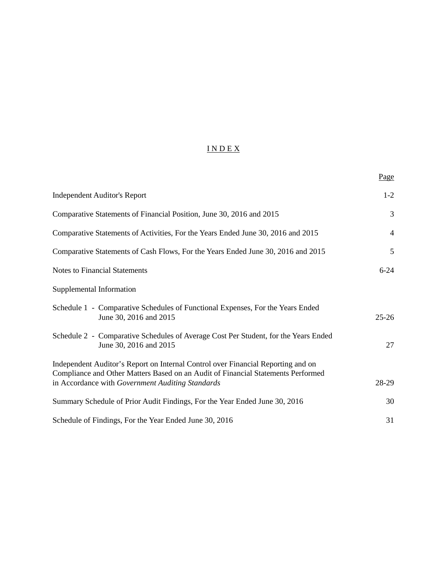# Kendall, Prebola and Jones, LLC

Certified Public Accountants

Board of Trustees Early Childhood Academy Public Charter School 4025 9th Street, SE Washington, DC 20032

#### INDEPENDENT AUDITOR'S REPORT

#### *Report on the Financial Statements*

We have audited the accompanying financial statements of the Early Childhood Academy Public Charter School, (a nonprofit organization) which comprise the statements of financial position as of June 30, 2016 and 2015, and the related statements of activities and cash flows for the years then ended, and the related notes to the financial statements.

#### *Management's Responsibility for the Financial Statements*

Management is responsible for the preparation and fair presentation of these financial statements in accordance with accounting principles generally accepted in the United States of America; this includes the design, implementation, and maintenance of internal control relevant to the preparation and fair presentation of financial statements that are free from material misstatement, whether due to fraud or error.

#### *Auditor's Responsibility*

Our responsibility is to express an opinion on these financial statements based on our audits. We conducted our audits in accordance with auditing standards generally accepted in the United States of America and the standards applicable to financial audits contained in *Government Auditing Standards*, issued by the Comptroller General of the United States. Those standards require that we plan and perform the audit to obtain reasonable assurance about whether the financial statements are free from material misstatement.

An audit involves performing procedures to obtain audit evidence about the amounts and disclosures in the financial statements. The procedures selected depend on the auditor's judgment, including the assessment of the risks of material misstatement of the financial statements, whether due to fraud or error. In making those risk assessments, the auditor considers internal control relevant to the entity's preparation and fair presentation of the financial statements in order to design audit procedures that are appropriate in the circumstances, but not for the purpose of expressing an opinion on the effectiveness of the entity's internal control. Accordingly, we express no such opinion. An audit also includes evaluating the appropriateness of accounting policies used and the reasonableness of significant accounting estimates made by management, as well as evaluating the overall presentation of the financial statements.

We believe that the audit evidence we have obtained is sufficient and appropriate to provide a basis for our audit opinion.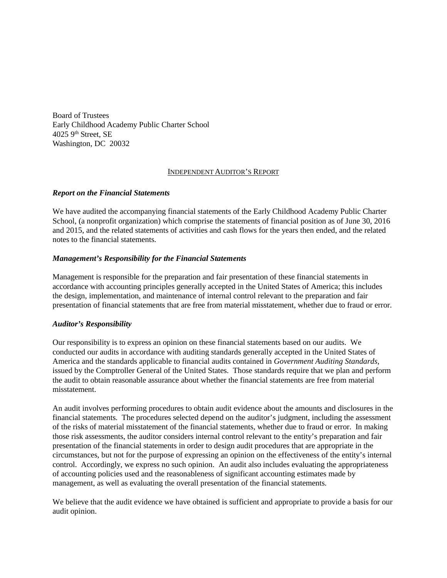## *Opinion*

In our opinion, the financial statements referred to above present fairly, in all material respects, the financial position of the Early Childhood Academy Public Charter School as of June 30, 2016 and 2015, and the changes in its net assets and its cash flows for the years then ended in accordance with accounting principles generally accepted in the United States of America.

## *Report on Supplementary Information*

Our audits were conducted for the purpose of forming an opinion on the financial statements as a whole. The schedules of functional expenses and schedules of average cost per student are presented for purposes of additional analysis and are not a required part of the financial statements. Such information is the responsibility of management and was derived from and relates directly to the underlying accounting and other records used to prepare the financial statements. The information has been subjected to the auditing procedures applied in the audit of the financial statements and certain additional procedures, including comparing and reconciling such information directly to the underlying accounting and other records used to prepare the financial statements or to the financial statements themselves, and other additional procedures in accordance with auditing standards generally accepted in the United States of America. In our opinion, the information is fairly stated in all material respects in relation to the financial statements as a whole.

## *Other Reporting Required by Government Auditing Standards*

In accordance with *Government Auditing Standards*, we have also issued our report dated September 9, 2016, on our consideration of the Early Childhood Academy Public Charter School's internal control over financial reporting and on our tests of its compliance with certain provisions of laws, regulations, contracts and grant agreements and other matters. The purpose of that report is to describe the scope of our testing of internal control over financial reporting and compliance and the results of that testing, and not to provide an opinion on internal control over financial reporting or on compliance. That report is an integral part of an audit performed in accordance with *Government Auditing Standards* in considering the Early Childhood Academy Public Charter School's internal control over financial reporting and compliance.

> Kendall, Prebola and Jones Certified Public Accountants

Bedford, Pennsylvania September 9, 2016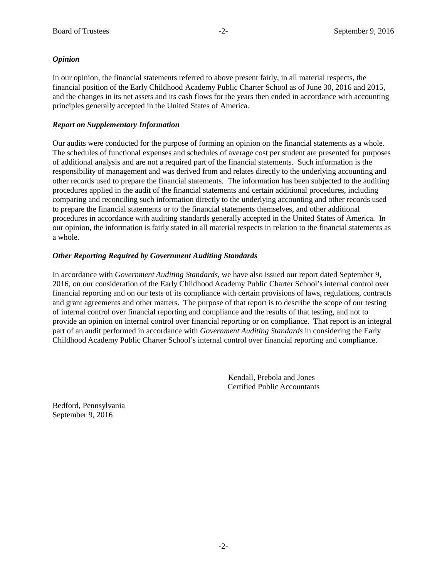## EARLY CHILDHOOD ACADEMY PUBLIC CHARTER SCHOOL COMPARATIVE STATEMENTS OF FINANCIAL POSITION JUNE 30, 2016 AND 2015

|                                                 | June 30, 2016                  | June 30, 2015            |
|-------------------------------------------------|--------------------------------|--------------------------|
| <b>ASSETS</b>                                   |                                |                          |
| <b>Current Assets:</b>                          |                                |                          |
| Cash and Cash Equivalents                       | \$<br>4,667,227                | \$<br>2,324,005          |
| <b>Certificates of Deposit</b>                  |                                | 2,000,000                |
| <b>Accounts Receivable</b>                      | 27,262                         | 35,817                   |
| <b>Grants Receivable</b>                        | 84,517                         | 99,312                   |
| Promises Receivable                             | 45,000                         |                          |
| Prepaid Expenses                                | 12,952                         | 10,905                   |
| <b>Total Current Assets</b>                     | \$<br>4,836,958                | 4,470,039<br>S.          |
| <b>Fixed Assets:</b>                            |                                |                          |
| Furniture and Equipment                         | \$<br>164,614                  | \$<br>161,433            |
| Computer Equipment                              | 287,440                        | 226,829                  |
| Leasehold Improvements                          | 69,916                         | 117,785                  |
| Less: Accumulated Depreciation and Amortization | (410,004)                      | (386, 885)               |
| <b>Total Fixed Assets</b>                       | \$<br>111,966                  | 119,162<br>\$            |
| Other Assets:                                   |                                |                          |
| Deposits                                        | \$<br>80,772                   | $\frac{1}{2}$<br>29,882  |
| <b>Total Other Assets</b>                       | \$<br>80,772                   | \$<br>29,882             |
| <b>TOTAL ASSETS</b>                             | \$<br>5,029,696                | 4,619,083                |
| <b>LIABILITIES AND NET ASSETS</b>               |                                |                          |
| <b>Current Liabilities:</b>                     |                                |                          |
| <b>Accounts Payable</b>                         | \$<br>22,965                   | \$<br>52,575             |
| Accrued Salary and Vacation                     | 139,890                        | 141,358                  |
| Payroll Withholdings and Related Liabilities    | 15,468                         | (447)                    |
| <b>Refundable Advances</b>                      |                                | 4,550                    |
| <b>Deferred Revenues</b>                        | 2,795                          | 11,902                   |
| Current Portion: Long-Term Debt                 | 3,750                          | 4,500                    |
| <b>Total Current Liabilities</b>                | \$<br>184,868                  | \$<br>214,438            |
| Long Term Liabilities:                          |                                |                          |
| Capital Lease Payable                           | \$<br>3,750                    | \$<br>8,250              |
| Less: Current Portion                           | (3,750)                        | (4,500)                  |
| <b>Total Long Term Liabilities</b>              | \$<br>$\overline{\phantom{a}}$ | 3,750<br>\$              |
| <b>Total Liabilities</b>                        | \$<br>184,868                  | $\frac{1}{2}$<br>218,188 |
| Net Assets:                                     |                                |                          |
| Unrestricted                                    | \$<br>4,808,765                | 4,400,895<br>S           |
| <b>Temporarily Restricted</b>                   | 36,063                         |                          |
|                                                 |                                |                          |
| <b>Total Net Assets</b>                         | 4,844,828<br>\$                | 4,400,895                |
| TOTAL LIABILITIES AND NET ASSETS                | 5,029,696                      | 4,619,083                |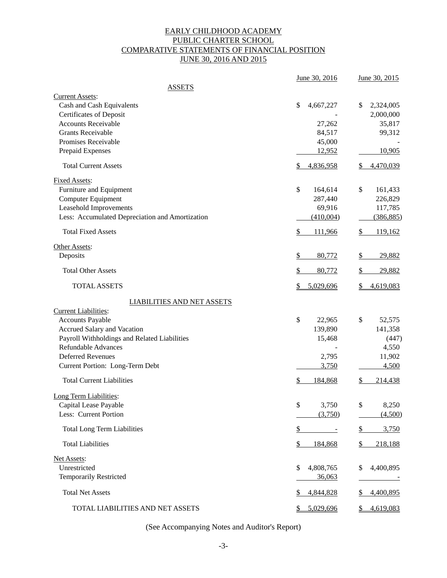## EARLY CHILDHOOD ACADEMY PUBLIC CHARTER SCHOOL COMPARATIVE STATEMENTS OF ACTIVITIES FOR THE YEARS ENDED JUNE 30, 2016 AND 2015

|                                          | June 30, 2016 |                                           |               | June 30, 2015 |                                 |               |  |
|------------------------------------------|---------------|-------------------------------------------|---------------|---------------|---------------------------------|---------------|--|
|                                          | Unrestricted  | Temporarily<br>Restricted                 | Total         | Unrestricted  | Temporarily<br>Restricted       | Total         |  |
| <b>Revenues and Other Support:</b>       |               |                                           |               |               |                                 |               |  |
| Per-Pupil Funding Allocation             | \$3,583,284   | \$<br>$\overline{\phantom{a}}$            | \$3,583,284   | \$3,642,337   | $\mathcal{S}$                   | \$3,642,337   |  |
| Per-Pupil Funding - Facilities Allowance | 843,381       | $\overline{\phantom{a}}$                  | 843,381       | 795,648       | $\overline{\phantom{a}}$        | 795,648       |  |
| <b>Federal Entitlements and Grants</b>   | 357,512       |                                           | 357,512       | 403,153       |                                 | 403,153       |  |
| <b>Donated Federal Commodities</b>       | 28,103        |                                           | 28,103        | 11,981        |                                 | 11,981        |  |
| <b>State Grants</b>                      | 82,090        |                                           | 82,090        | 73,973        |                                 | 73,973        |  |
| <b>Private Grants and Contributions</b>  | 1,637         | 99,150                                    | 100,787       | 33,467        |                                 | 33,467        |  |
| <b>Student Fees</b>                      | 88,610        |                                           | 88,610        | 100,677       |                                 | 100,677       |  |
| Interest                                 | 4,393         |                                           | 4,393         | 2,532         |                                 | 2,532         |  |
| Special Events (Net)                     | 4,077         |                                           | 4,077         | 2,358         |                                 | 2,358         |  |
| Loss on Disposal of Fixed Assets         |               |                                           |               | (133)         |                                 | (133)         |  |
| Net Assets Released from Restrictions    |               |                                           |               |               |                                 |               |  |
| (Satisfaction of Program Restrictions)   | 63,087        | (63,087)                                  |               | 1,750         | (1,750)                         |               |  |
| <b>Total Revenues and Other Support</b>  | \$5,056,174   | 36,063                                    | \$5,092,237   | \$5,067,743   | (1,750)                         | \$5,065,993   |  |
| <b>Expenses and Losses:</b>              |               |                                           |               |               |                                 |               |  |
| <b>Educational Services</b>              | \$4,190,382   | $\mathcal{S}$<br>$\overline{\phantom{a}}$ | \$4,190,382   | \$3,998,677   | $\mathcal{S}$<br>$\blacksquare$ | \$3,998,677   |  |
| Fundraising                              | 4,018         |                                           | 4,018         | 4,038         |                                 | 4,038         |  |
| General and Administrative               | 453,904       |                                           | 453,904       | 414,514       |                                 | 414,514       |  |
| <b>Total Expenses</b>                    | \$4,648,304   |                                           | \$4,648,304   | \$4,417,229   | \$                              | \$4,417,229   |  |
| Changes in Net Assets                    | \$<br>407,870 | \$<br>36,063                              | \$<br>443,933 | \$<br>650,514 | $\mathcal{S}$<br>(1,750)        | \$<br>648,764 |  |
| Net Assets, Beginning of Year            | 4,400,895     |                                           | 4,400,895     | 3,750,381     | 1,750                           | 3,752,131     |  |
| Net Assets, End of Year                  | \$4,808,765   | 36,063                                    | \$4,844,828   | \$4,400,895   |                                 | \$4,400,895   |  |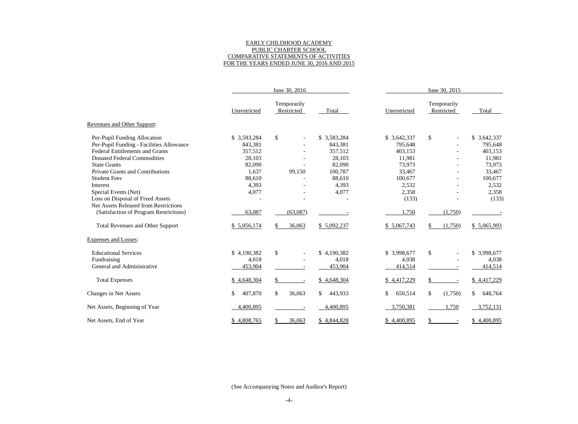## EARLY CHILDHOOD ACADEMY PUBLIC CHARTER SCHOOL COMPARATIVE STATEMENTS OF CASH FLOWS FOR THE YEARS ENDED JUNE 30, 2016 AND 2015

|                                                                              |    | June 30, 2016 |    | June 30, 2015 |  |
|------------------------------------------------------------------------------|----|---------------|----|---------------|--|
| <b>Cash Flows from Operating Activities:</b><br><b>Changes in Net Assets</b> | \$ | 443,933       | \$ | 648,764       |  |
| Adjustments to Reconcile Changes in Net Assets                               |    |               |    |               |  |
| to Net Cash Flows From Operating Activities:                                 |    |               |    |               |  |
| Depreciation and Amortization                                                |    | 70,988        |    | 80,594        |  |
| Loss on Disposal of Fixed Assets                                             |    |               |    | 133           |  |
| Accounts Receivable - (Increase)/Decrease                                    |    | 8,555         |    | 160,005       |  |
| Grants Receivable - (Increase)/Decrease                                      |    | 14,795        |    | (19,766)      |  |
| Promises Receivable - (Increase)/Decrease                                    |    | (45,000)      |    |               |  |
| Prepaid Expenses - (Increase)/Decrease                                       |    | (2,047)       |    | 13,988        |  |
| Deposits - (Increase)/Decrease                                               |    | (50, 890)     |    | (1, 145)      |  |
| Accounts Payable - Increase/(Decrease)                                       |    | (29,610)      |    | 12,859        |  |
| Accrued Salary and Wages - Increase/(Decrease)                               |    | (1, 468)      |    | 2,627         |  |
| Payroll Withholdings and Related Liabilities - Increase/(Decrease)           |    | 15,915        |    | (8, 541)      |  |
| Refundable Advance - Increase/(Decrease)                                     |    | (4,550)       |    |               |  |
| Deferred Revenues - Increase/(Decrease)                                      |    | (9,107)       |    | (106, 648)    |  |
| Net Cash Flows From Operating Activities                                     | \$ | 411,514       | S  | 782,870       |  |
| Cash Flows from Investing Activities:                                        |    |               |    |               |  |
| <b>Purchase of Fixed Assets</b>                                              | \$ | (63,792)      | \$ | (69, 862)     |  |
| Purchase of Certificates of Deposit                                          |    |               |    | (2,000,000)   |  |
| Proceeds on Sale of Certificates of Deposit                                  |    | 2,000,000     |    |               |  |
| Net Cash Flows From Investing Activities                                     |    | 1,936,208     |    | (2,069,862)   |  |
| <b>Cash Flows from Financing Activities:</b>                                 |    |               |    |               |  |
| Payments on Capital Lease                                                    | \$ | (4,500)       | \$ | (4,500)       |  |
| Net Cash Flows From Financing Activities                                     | \$ | (4,500)       | \$ | (4,500)       |  |
| Net Increase in Cash and Cash Equivalents                                    | \$ | 2,343,222     | \$ | (1,291,492)   |  |
| Cash and Cash Equivalents at Beginning of Year                               |    | 2,324,005     |    | 3,615,497     |  |
| Cash and Cash Equivalents at End of Year                                     | \$ | 4,667,227     | \$ | 2,324,005     |  |

## Supplemental Disclosures:

a) No income taxes were paid during the years ended June 30, 2016 and 2015.

b) No interest on loans was paid during the years ended June 30, 2016 and 2015.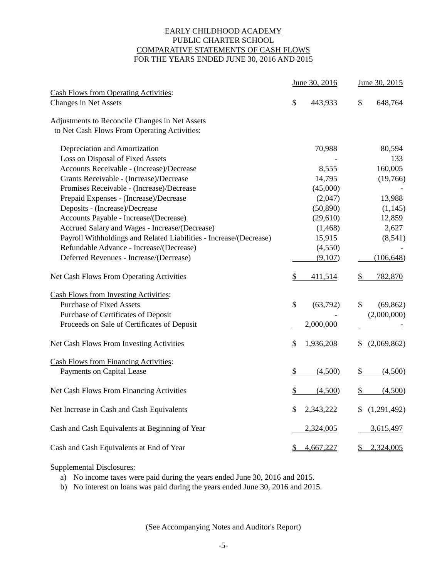Early Childhood Academy Public Charter School, Inc. (ECA), a District of Columbia not-for-profit corporation was incorporated on November 12, 2004 exclusively for educational purposes. The public charter school operates as part of the District of Columbia Public School System and was chartered under the authority of the DC Public Charter School Board. ECA is a tuition-free public school, designed to ultimately serve 300 Washington, DC children in grades prekindergarten through grade three. ECA focuses heavily on language and literacy, with instruction also provided in math, social studies, science, music, and physical education.

It is the mission of Early Childhood Academy Public Charter School to foster the academic and social/ emotional growth and development of each student in a safe and holistic learning environment that will equip all students with the knowledge and tools to become high achievers, proficient readers, and critical thinkers who will thrive for a lifetime as productive and caring citizens.

ECA's primary sources of support are local appropriations for charter schools from the District of Columbia Government. ECA also receives federal entitlement funding through the Office of the State Superintendent of Education.

## 1. SUMMARY OF SIGNIFICANT ACCOUNTING POLICIES:

The significant accounting policies of the Charter School are summarized below:

(a) Basis of Accounting and Presentation:

The accompanying financial statements have been prepared on the accrual basis of accounting, which presents financial position, activities, functional expenses and cash flows in accordance with accounting principles generally accepted in the United States of America.

#### (b) Revenue Recognition:

#### **Contributions**

The Charter School has adopted Financial Accounting Standards Board ASC No. 958-605-25, *Accounting for Contributions Received and Contributions Made.* As such, contributions are recognized as revenue when they are received or unconditionally pledged.

All contributions are available for unrestricted use unless specifically restricted by the donor. Contributions and promises to give with donor-imposed conditions are recognized as unrestricted support when the conditions on which they depend are substantially met. Contributions and promises to give with donor-imposed restrictions are reported as temporarily restricted support. Unconditional promises to give due in the next year are recorded at their net realizable value. An allowance for uncollectible contributions receivable is provided based upon management's judgment, including such factors as prior collection history and type of contribution.

The Charter School reports gifts of equipment as unrestricted support unless explicit donor stipulations specify how the donated assets must be used. The Charter School reports expirations of donor restrictions when the donated or acquired assets are placed in service.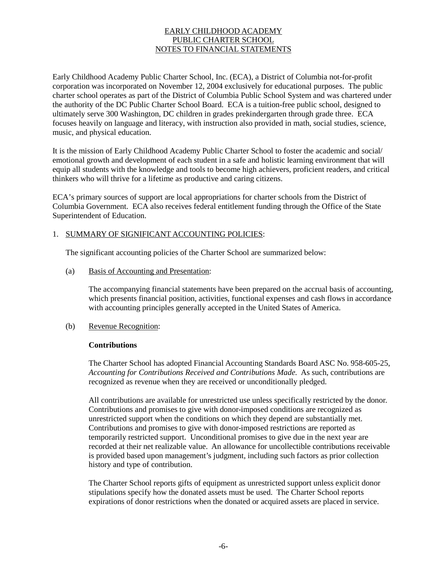#### 1. SUMMARY OF SIGNIFICANT ACCOUNTING POLICIES: (Continued)

#### (b) Revenue Recognition: (Continued)

#### **Federal and Charter School Funding**

The Early Childhood Academy Public Charter School receives a student allocation from the District of Columbia as well as federal funding to cover the cost of academic expenses. The student allocation is on a per pupil basis and includes the academic year funding, special education funding and a facilities allotment. The Charter School recognizes this funding in the year in which the school term is conducted. Funding received in advance of the school term is recorded as a refundable advance.

Federal entitlements are recognized based on the allowable costs incurred.

#### **Before and After Care Fees**

The Early Childhood Academy Public Charter School offers fee-based extended day programming for students in grades prekindergarten through third grade. The hours of operation are structured to coincide with the typical workday of parents of the students. Both the before and after care programs offer food services. Tuition is collected based on a monthly fee and has been reflected as student fees.

#### (c) Corporate Taxes:

The Early Childhood Academy Public Charter School is exempt from federal and state income taxes (other than on unrelated business income) under the provisions of Section 501(c)(3) of the Internal Revenue Code and similar state income tax laws. Exemption from District of Columbia income taxes was granted to the Charter School effective June 13, 2007. Accordingly, no provisions for income taxes have been provided for in the accompanying financial statements. The organization has been classified as other than a private foundation under Section  $509(a)(1)$  of the Internal Revenue Code and accordingly contributions qualify as a charitable tax deduction by the contributor under Section  $170(b)(i)(A)(ii)$ . The School did not have any net unrelated business income for the year ended June 30, 2016.

The Early Childhood Academy Public Charter School is also exempt from District of Columbia sales and personal property taxes.

#### (d) Grants:

#### **Foundation Grants**

Grant revenues result primarily from foundation grants and are recognized as increases in unrestricted net assets unless use of related assets is limited by donor-imposed restrictions. Expenses are reported as decreases in unrestricted net assets. Expiration of temporary restrictions (i.e. the donor-stipulated purpose has been fulfilled and/or the stipulated time period has elapsed) is reported as net assets released from restrictions between the applicable classes of net assets.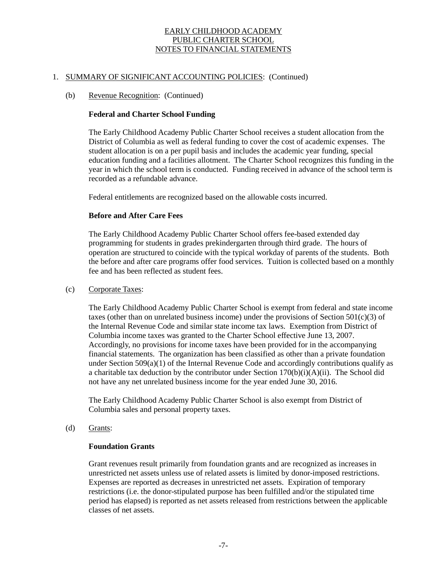#### 1. SUMMARY OF SIGNIFICANT ACCOUNTING POLICIES: (Continued)

#### (d) Grants: (Continued)

#### **Government Grants**

The School receives grants from federal and state governmental agencies for various purposes in the form of exchange transactions. Receivables related to grant awards are recorded to the extent unreimbursed expenses have been incurred for the purposes specified by an approved grant award. Funds received in advance for these types of grants and those that are unexpended as of year-end are reflected as a deferred revenue.

#### (e) Net Assets:

The Charter School has adopted Financial Accounting Standards Board ASC No. 958-205-05, *Financial Statements of Not-for-Profit Organizations*. Under FASB ASC No. 958-205-05, the Charter School is required to report information regarding its financial position and activities according to three classes of net assets.

Net assets and revenues, expenses, gains, and losses are classified based on the existence or absence of donor-imposed restrictions. Accordingly, net assets of the Charter School and changes therein are classified and reported as follows:

#### **Unrestricted Net Assets**

Net assets that are not subject to donor-imposed restrictions and over which the Board of Trustees has discretionary control. This classification includes net assets subject to donorimposed conditions, which have been met in the current year and net assets subject to donorimposed restrictions that have been released from restrictions.

#### **Temporarily Restricted Net Assets**

Net assets subject to donor-imposed restrictions that may or will be met, either by actions of the Charter School and/or the passage of time. When a restriction expires, temporarily restricted net assets are reclassified to unrestricted net assets and reported in the statement of activities as net assets released from restrictions. There were no temporarily restricted net assets available at June 30, 2015. Temporarily restricted net assets were available as of June 30, 2016, for the following purpose:

|                        | June 30, 2016 |        |  |
|------------------------|---------------|--------|--|
| Afterschool Enrichment |               | 36,063 |  |
| Total                  |               | 36,063 |  |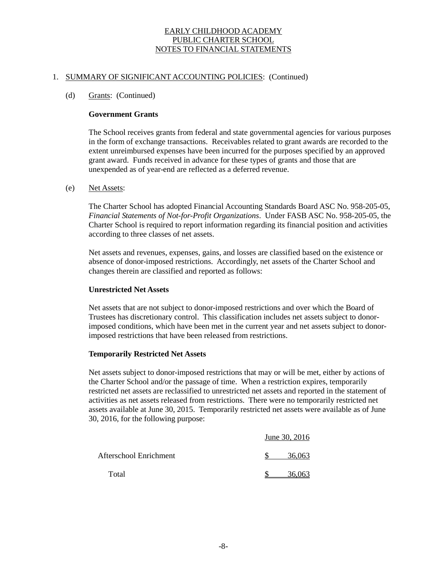#### 1. SUMMARY OF SIGNIFICANT ACCOUNTING POLICIES: (Continued)

#### (e) Net Assets: (Continued)

#### **Temporarily Restricted Net Assets** (Continued)

Net assets were released from donor restrictions by incurring expenses satisfying the restricted purpose, the passage of time, or by occurrence of events specified by donors for the following activities:

|                                        | June 30, 2016 | June 30, 2015 |
|----------------------------------------|---------------|---------------|
| Summer Program                         | \$<br>29.150  | S             |
| <b>Reading Textbooks and Materials</b> | 25,000        |               |
| Afterschool Enrichment                 | 8,937         |               |
| <b>Playground Project</b>              |               | l.750         |
| <b>Total Released</b>                  |               |               |

#### **Permanently Restricted Net Assets**

Net assets subject to donor-imposed stipulations that requires the net assets be maintained permanently by the Charter School. Generally, the donors of these assets permit the use of all or part of the income earned on any related investments for general or specific purposes. The Charter School did not have any permanently restricted net assets as of June 30, 2016 and 2015.

#### (f) Donated Services and Materials:

Donated services and material are recognized as contributions in accordance with FASB ASC 958, *Accounting for Contributions Received and Contributions Made*, if the services received create or enhance nonfinancial assets or require specialized skills, and are provided by individuals possessing those skills, and would typically need to be purchased if not provided by donation. Contributed services and promises to give services that do not meet the above criteria are not recognized. The time contributed by the Charter School's Board of Trustees is uncompensated and is not reflected as donated services. In-kind contributions are recorded in the Statement of Activities at estimated fair value and recognized as revenue and expense (or an asset) in the period they are received. There were no donated services or materials for the years ended June 30, 2016 and 2015.

(g) Basic Programs:

#### **Educational Approach**

ECA has a strong curricular focus on language and literacy, given the tremendous impact of early language development on nearly all other aspects of development. Instruction is based upon the Early Learning Standards for prekindergarten and the national Common Core standards for reading and math, kindergarten through grade three.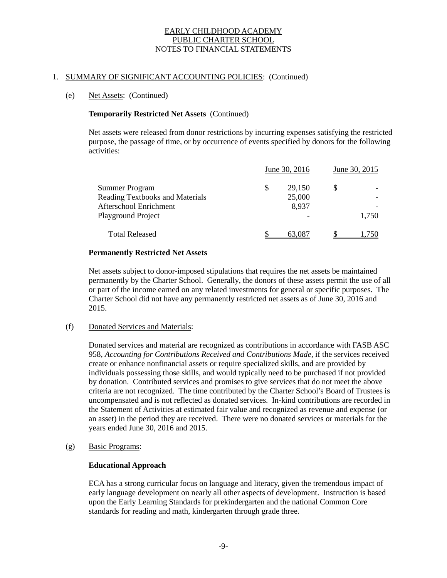#### 1. SUMMARY OF SIGNIFICANT ACCOUNTING POLICIES: (Continued)

#### (g) Basic Programs: (Continued)

## **Educational Approach** (Continued)

Early Childhood Academy Public Charter School has selected *Pearson Opening the World of Learning (OWL)* as its instructional tool for pre-kindergarten and *Houghton Mifflin Reading, Science,* and *Social Studies*, as well as *McGraw Hill My Math* and *Reading Wonders and Houghton Mifflin Science* and *Social Studies* for kindergarten to grade three. *Opening the World of Learning* is a comprehensive curriculum that covers all domains of early learning. The content of each unit is built around a carefully crafted daily routine within activity centers. Themes, skills, and concepts are developed through quality children's fiction and nonfiction trade books. *Houghton Mifflin Science* and *Social Studies* are comprehensive learning programs that includes a variety of products to help maximize teaching effectiveness, including textbooks, workbooks, teachers' guides and resources, audio-visual aids, and computer software. *McGraw-Hill My Math* and *Reading Wonders* provide students with research-based content aligned with the Common Core State Standards. Differentiated instruction allows teachers to reach every student and ensure success on state and standardized tests. Together, these curriculum tools will ensure an appropriate and challenging educational program focusing on children's developmental progress and mastery of content knowledge and skills.

#### **Assessment**

ECA believes that the purpose of assessment is to gather information about children to support their learning. Through assessment, teachers obtain useful information about each child's knowledge, skills, and progress by observing, documenting, analyzing, and reviewing work samples over time. Teachers at Early Childhood Academy Public Charter School are given specific instructions on how to assess, document, and record children's progress. They use this data to plan appropriate and differentiated instruction.

Baseline and benchmark formative and summative assessments for prekindergarten include the Phonological Awareness Literacy Screening (PALS) and the Every Child Ready Assessment provided by the AppleTree Institute for Education Innovation. Prekindergarten classroom environments are also evaluated using the Classroom Assessment and Scoring System. Formative and summative assessments for kindergarten through grade three include the Northwest Evaluation Association Measures of Academic Progress and the Developmental Reading Assessment. Third grade students also complete the Partnership for Assessment of Readiness for College and Careers (PARCC), which is the required statewide assessment.

Data from these assessments guide planning and instruction for all students to ensure that goals and standards are met.

#### **Discipline**

ECA promulgates clear, school-wide expectations for student and adult behavior, as well as consistent, respectful, and developmentally appropriate consequences administered as necessary. By implementing a school-wide behavior support plan and providing on-going staff training in positive behavior facilitation, ECA creates and maintains a learning environment that is nurturing, age-appropriate, and culturally sensitive.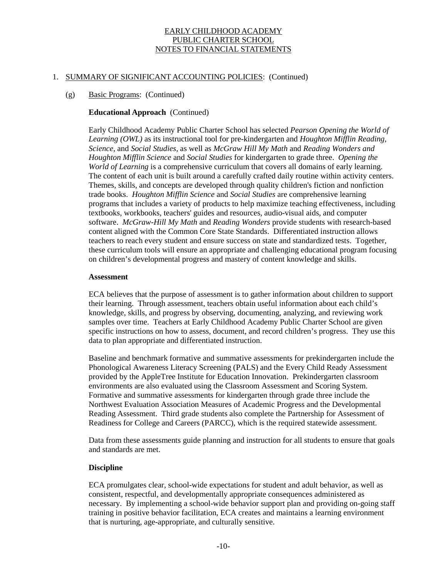#### 1. SUMMARY OF SIGNIFICANT ACCOUNTING POLICIES: (Continued)

#### (g) Basic Programs: (Continued)

#### **Professional Development**

ECA believes that high-quality professional development and ongoing feedback and support from administrators provide teachers with the knowledge base and skills needed to promote children's learning. Therefore, each year, the executive director, principal, and a representative group of teachers will draft a Professional Development Plan that articulates goals, activities, resources, and evidence of success.

Experts in their fields are contracted to support high student achievement in reading and math. Robyn Silbey, ECA's math coach, taught for 36 years in Montgomery County, Maryland, a large, urban/suburban school district with a widely diverse population. Ms. Silbey holds a Master of Science degree in Mathematics Education and a Bachelor's of Science degree in Elementary Education. For over 30 years, Robyn has authored and co-authored books, computer software, workbooks, and articles.

Robyn presents workshops at national and international conferences including the International Congress of Math Educators (ICME) in Copenhagen, Denmark. Robyn served as a teacher consultant in the Teaching Training Corps as part of the Teacher-to-Teacher Initiative for the United States Department of Education.

## **Parent Involvement**

ECA is dedicated to encouraging strong and consistent parent involvement in all aspects of the child's educational, social, and emotional development. Orientation meetings are held during which parents receive *Parent Handbooks* and sign a "School-Parent Compact." Parent meetings, phone calls, written progress reports, and regularly scheduled meetings are implemented to discuss children's progress, notify parents of ECA's performance in meeting yearly academic goals, and to ensure open communication with parents on a regular basis. In addition, ECA offers free quarterly parent education workshops. The principal facilitates the establishment of a Parent Leadership Team and all parents are members of the Parent School Association.

#### **Community Involvement**

The executive director will promote partnerships and collaborative ventures with school personnel and other public and private stakeholder organizations to facilitate service delivery. ECA will also develop a continually updated list of opportunities for parents and other community members to participate in school activities.

ECA currently partners with Family Matters of Greater Washington, Reading is Fundamental, EDspired, the Richard E. and Nancy P. Marriott Foundation, Friends of Choice in Urban Schools, the Special Education Cooperative, the DC Association of Chartered Public Schools, AppleTree Institute for Education Innovation, eyemaginED, and the Community of Hope Conway Health and Resource Center.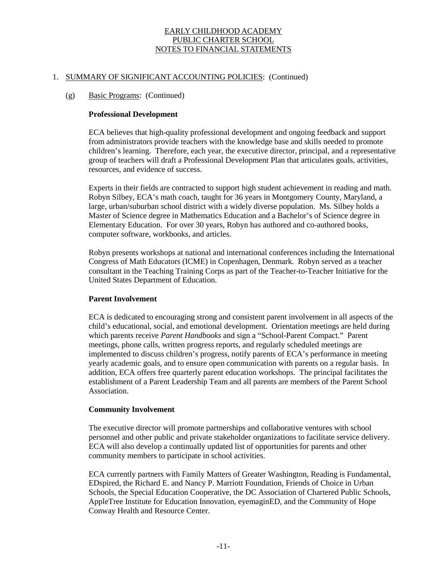#### 1. SUMMARY OF SIGNIFICANT ACCOUNTING POLICIES: (Continued)

#### (g) Basic Programs: (Continued)

#### **Leadership**

ECA is overseen by the eleven-member Board of Trustees, who is responsible for the governance of the school. On-site leadership is provided by the executive director, who has overall responsibility for the operation of the school and the educational program; and by the school principal, who provides instructional leadership and program and building management. ECA's executive director holds a master's degree in educational psychology and has over thirty years of experience as a teacher, special education coordinator, assistant principal, principal, and executive director. The school's principal holds two master's degrees in teaching and early childhood special education and has over twenty years of experience as a teacher, special education coordinator, assistant principal, and principal. ECA's financial manager, a CPA and instructor at the University of the District of Columbia, provides the financial and HR expertise for the leadership team.

Early Childhood Academy Public Charter School's school leadership is composed of a highly competent team of stakeholders from the Washington, DC community who are knowledgeable about the educational and developmental needs of children, understand the communities which they serve, and are connected with the resources and services of government and nonprofits. They know law and accounting, and they are all committed to and invigorated by this endeavor. The leadership team, along with the teaching staff of ECA, shares an understanding that the ability of children to learn is affected by many outside factors, such as socioeconomic backgrounds, family stability, parental employment and education, and influences from the community. Although the school alone cannot successfully address all of the negative societal exposure many children face, ECA can and does serve as a foundation for their strong academic and emotional growth and development, and as a nurturing and safe haven for its students.

#### (h) Functional Expense Allocation Policies and Procedures:

Management has elected to prepare a schedule of functional expenses that is presented as supplemental information to the financial statements. The schedule of functional expenses presents an allocation of each expense category between program services, general and administrative, and fundraising activities. Program service costs pertain to educating students. General and administrative costs pertain to supporting activities. Fundraising costs relate to fundraising activities such as special events, fundraisers and soliciting of contributions.

Management has established functional expense allocation policies and procedures based on a reasonable analysis of cost drivers and reasonable allocation estimates based on financial results and industry standards.

Direct costs, where identifiable, are allocated in whole to the appropriate functional category. Direct student expenses (textbooks, materials, instructional supplies, assessment material, contract educational services, and field trips) are allocated entirely to program services.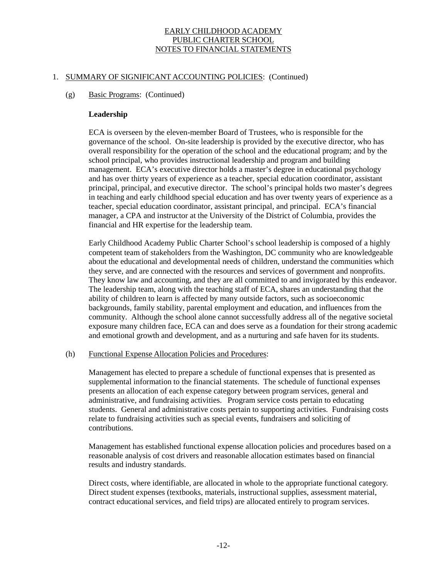#### 1. SUMMARY OF SIGNIFICANT ACCOUNTING POLICIES: (Continued)

#### (h) Functional Expense Allocation Policies and Procedures: (Continued)

Personnel expenses for salaries, payroll taxes and employee benefit plans are allocated based on job descriptions and management estimates of time spent on particular activities. Personnel expenses for salaries are divided into employee categories (executive, teachers, other educational staff, etc.) and then a percentage of time spent on program services, general and administrative activities, and fundraising activities is applied. All other personnel expenses (employee benefits, payroll taxes, staff development) are allocated based on the weighted average allocation of the direct salaries.

Other expenses that are not directly identifiable by program are allocated based on management estimates of use of resources. For other expenses where it would not be appropriate to designate 100 percent as a program service cost, general and administrative cost, or fundraising cost, the allocation formula for personnel expenses is utilized for cost allocation purposes.

#### (i) Use of Estimates:

The preparation of financial statements in conformity with accounting principles generally accepted in the United States of America requires management to make estimates and assumptions that affect the reported amounts of assets, liabilities, the disclosure of contingent assets and liabilities at the date of the financial statements, and the reported amounts of support and revenues and expenses during the reporting period. Actual results could differ from those estimates.

#### (j) Recognition of Salary Expense:

Salary expense is recognized in the year the service is rendered, which coincides with the academic year. Salaries unpaid at June 30 are recognized as expense and accrued salaries.

#### (k) Fair Value of Certain Financial Instruments:

Some of the Charter School's financial instruments are not measured at fair value on a recurring basis but nevertheless are recorded at amounts that approximate fair value due to their liquid or short-term nature. Such accounts include cash, accounts receivable, prepaid expenses, accounts payable, and accrued expenses.

#### (l) Certificates of Deposit:

Certificates of deposit are other investments with original maturities greater than three months and are carried at cost. The certificates of deposit do not qualify as securities as defined in Financial Accounting Standard Board ("FASB") Accounting Standards Codification ("ASC") 320, *Investments - Debt and Equity Securities*, thus the fair value disclosures required by ASC 820, *Fair Value Measurements and Disclosures*, are not provided.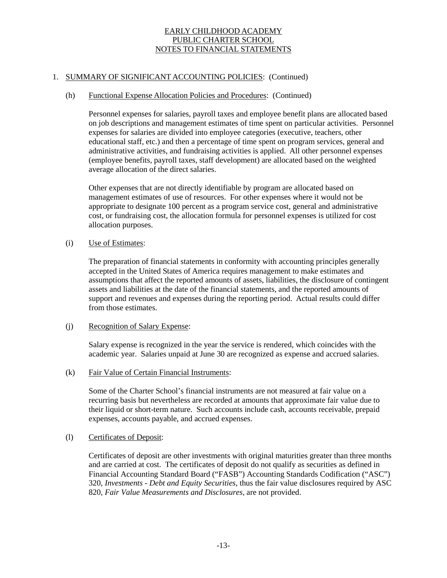#### 1. SUMMARY OF SIGNIFICANT ACCOUNTING POLICIES: (Continued)

#### (m) Reclassifications:

Certain accounts in the prior year financial statements have been reclassified for comparative purposes to conform with the presentation in the current year financial statements. These reclassifications had no effect on the change in net assets or to total net assets from the prior years.

#### 2. ACCOUNTING FOR UNCERTAIN TAX POSITIONS:

Accounting principles generally accepted in the United States of America provide consistent guidance for the accounting for uncertainty in income taxes recognized in the Charter School's financial statements and prescribe a threshold of "more likely than not" for recognition of tax positions taken or expected to be taken in a tax return. The Early Childhood Academy Public Charter School performed an evaluation of uncertain tax positions for the year ended June 30, 2016, and determined that there were no matters that would require recognition in the financial statements or that may have any effect on its tax-exempt status. As of June 30, 2016, the statute of limitations for tax years 2012 through 2014 remains open with the U.S. federal jurisdiction or the various states and local jurisdictions in which the organization files tax returns. It is the Charter School's policy to recognize interest and/or penalties related to uncertain tax positions, if any, in income tax expense. As of June 30, 2016, the Charter School had no accruals for interest and/or penalties.

#### 3. CASH, CASH EQUIVALENTS AND CERTIFICATES OF DEPOSIT:

#### Cash and Cash Equivalents:

Cash at June 30, 2016 and 2015 totaled \$4,667,227 and \$2,324,005, respectively, and consisted of the following:

|                                                                                      | June 30, 2016                     | June 30, 2015               |  |  |
|--------------------------------------------------------------------------------------|-----------------------------------|-----------------------------|--|--|
| Non-Interest Bearing Checking Accounts<br><b>Money Market Accounts</b><br>Petty Cash | \$<br>658,686<br>4,008,041<br>500 | 820,306<br>1,503,199<br>500 |  |  |
| Total                                                                                | 4.667.227                         | 2.324,005                   |  |  |

#### Certificates of Deposit:

Certificates of Deposit are valued at original cost. Balances at year end consisted of the following:

|                                | June 30, 2016            | June 30, 2015 |
|--------------------------------|--------------------------|---------------|
| <b>Certificates of Deposit</b> | $\overline{\phantom{0}}$ | \$ 2,000,000  |

For purposes of the cash flow statement and financial statement presentation, cash and cash equivalents are short term, highly liquid investments with maturities of three months or less.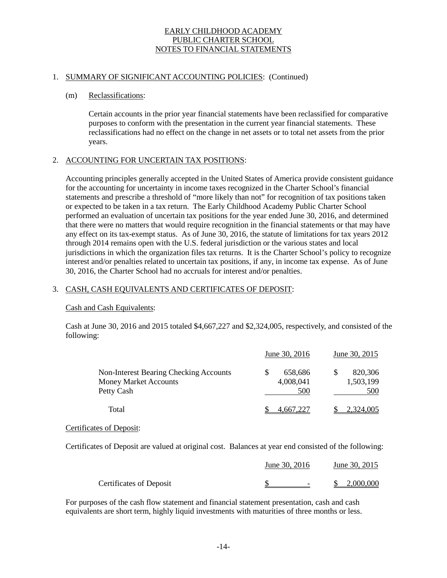#### 3. CASH, CASH EQUIVALENTS AND CERTIFICATES OF DEPOSIT: (Continued)

The Early Childhood Academy Public Charter School maintains its operating funds in three separate financial institutions. These accounts are covered under the Federal Deposit Insurance Corporation (FDIC) Program. Federal Deposit Insurance Corporation Insurance coverage is \$250,000 per account category. Deposits held in non-interest-bearing transaction accounts are aggregated with interestbearing deposits and the combined total is insured up to \$250,000.

As of June 30, 2016 and 2015, \$4,204,710 and \$2,109,612, respectively, of the bank balance was deposited in excess of Federal Deposit Insurance Corporation limits. Due to increased cash flows at certain times during the year, the amount of funds at risk may have been greater than at year end. The Charter School was at risk for the funds held in excess of the insured amounts. The Charter School has not experienced any losses related to these accounts and does not believe it is exposed to any significant credit risk on cash and cash equivalents.

#### 4. ACCOUNTS, GRANTS AND PROMISES RECEIVABLE:

#### **Accounts and Grants Receivable**

Accounts and grants receivable are current and are considered to be fully collectible by management. Balances as of June 30, 2016 and 2015 consisted of the following:

|                                            | June 30, 2016 |        | June 30, 2015 |        |
|--------------------------------------------|---------------|--------|---------------|--------|
| <b>Accounts Receivable:</b>                |               |        |               |        |
| Per Pupil Funding                          | \$            | 27,200 | \$            | 33,271 |
| Reimbursable Expenses                      |               | 62     |               | 1,172  |
| Interest                                   |               |        |               | 449    |
| Other                                      |               |        |               | 925    |
| Total                                      |               | 27,262 |               | 35,817 |
| Grants Receivable:                         |               |        |               |        |
| No Child Left Behind - Entitlement         | \$            | 38,546 | \$            | 34,469 |
| National School Food Program               |               | 35,212 |               | 36,980 |
| E-rate                                     |               | 7,562  |               | 5,320  |
| National School Food - Healthy Schools Act |               | 1,623  |               | 1,762  |
| Farm Field Trip Grant                      |               | 900    |               |        |
| DC Physical Activities for Youth           |               | 674    |               |        |
| School Technology Fund                     |               |        |               | 12,932 |
| Scholarships for Opportunity and Results   |               |        |               | 7,849  |
| Total                                      | \$            | 84,517 | S             | 99,312 |

The Charter School's accounts and grants receivable consists of unsecured amounts due from funding sources whose ability to pay is subject to changes in general economic conditions. Because the Charter School does not require collateral, it is at credit risk for the amounts owed to it through the year and at year end.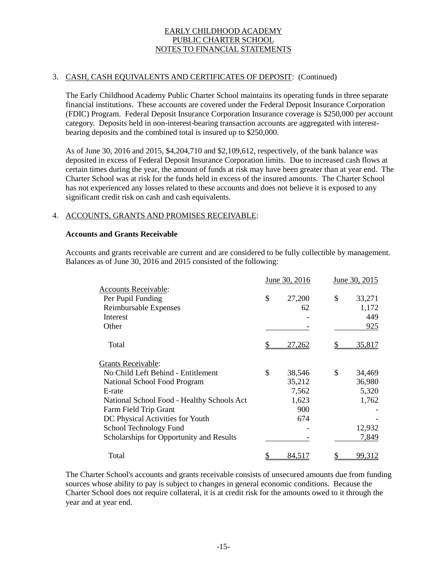## 4. ACCOUNTS, GRANTS AND PROMISES RECEIVABLE: (Continued)

#### **Accounts and Grants Receivable** (Continued)

Accounts and grants receivable are stated at the amount management expects to collect from outstanding balances. Management provides for probable uncollectable amounts through a provision for bad debt expense and an adjustment to a valuation allowance based on its assessment of the current status of individual accounts. Balances outstanding after management has used reasonable collection efforts are written off through a charge to the valuation allowance and a credit to accounts or grants receivable. Management believes that an allowance was not required based on its evaluation of collectability of receivables for the years ended June 30, 2016 and 2015.

Trade receivables related to program service fees (activity fees, before and after care, etc.) are recognized as revenue on the accrual basis of accounting at the time the program activity has occurred. Credit is extended for a period of 60 days with no interest accrual at which time payment is considered delinquent. Trade receivables are written off as uncollectable when payment has not been received after 180 days.

#### **Promises Receivable**

Contributions are recognized when the donor makes a promise to give that is, in substance, unconditional. Promises to give represent amounts committed by donors that have not been received by the Charter School. The Charter School uses the allowance method to determine uncollectable promises to give. Promises receivable at year end consisted of the following:

|                        | June 30, 2016 | June 30, 2015            |
|------------------------|---------------|--------------------------|
| Afterschool Enrichment | 45.000        | $\overline{\phantom{a}}$ |
| Total                  | (1)(1)        | -                        |

The above promises receivable are due to be received within one year.

#### 5. FIXED ASSETS:

Furniture and equipment are recorded at cost or in the case of contributed property at the fair market value at the date of contribution. If an expenditure in excess of \$500 results in an asset having an estimated useful life which extends substantially beyond the year of acquisition, the expenditure is capitalized at cost and depreciated over the estimated useful lives of the assets. When assets are retired, or otherwise disposed of, the cost and related accumulated depreciation is removed from the accounts and any resulting gains or losses are reflected in income for the period. Depreciation has been provided on the straight-line method over the estimated useful lives of the assets. Maintenance and repairs are charged to expenses as incurred. Depreciation and amortization expense for the years ended June 30, 2016 and 2015, was \$70,988 and \$80,594, respectively.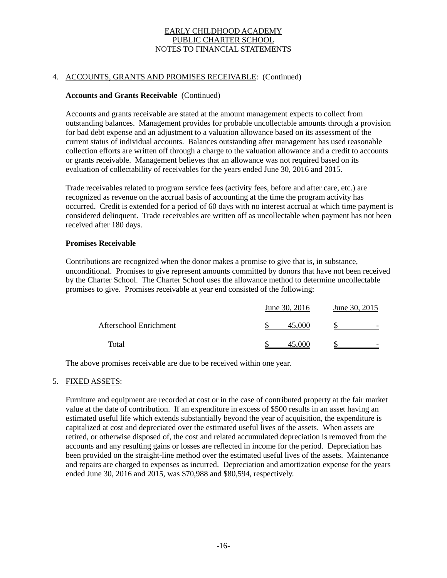#### 5. FIXED ASSETS: (Continued)

Major classifications of fixed assets and their estimated useful lives are as summarized below:

#### June 30, 2016:

|                                                                                       | Depreciable<br>Life                | Cost                                | Accumulated<br>Depreciation         |    | Net Book<br>Value          |
|---------------------------------------------------------------------------------------|------------------------------------|-------------------------------------|-------------------------------------|----|----------------------------|
| Furniture and Equipment<br>Computer Equipment<br><b>Leasehold Improvements</b>        | 7-10 Years<br>3-5 Years<br>5 Years | \$<br>164,614<br>287,440<br>69,916  | \$<br>136,867<br>209,825<br>63,312  | \$ | 27,747<br>77,615<br>6,604  |
| Total                                                                                 |                                    | \$<br>521,970                       | 410,004                             | S  | 111,966                    |
| June 30, 2015:                                                                        |                                    |                                     |                                     |    |                            |
|                                                                                       | Depreciable<br>Life                | Cost                                | Accumulated<br>Depreciation         |    | Net Book<br>Value          |
| Furniture and Equipment<br><b>Computer Equipment</b><br><b>Leasehold Improvements</b> | 7-10 Years<br>3-5 Years<br>5 Years | \$<br>161,433<br>226,829<br>117,785 | \$<br>125,505<br>155,370<br>106,010 | \$ | 35,928<br>71,459<br>11,775 |

#### 6. REFUNDABLE ADVANCES:

The Early Childhood Academy Public Charter School records cash receipts on grants in excess of costs incurred on grants as refundable advances until they are expended for the purposes of the grant at which time they are recognized as unrestricted support. The balance of refundable advances as of June 30, 2016 and 2015 consisted of the following:

|                                              |                          | June 30, 2016 June 30, 2015 |
|----------------------------------------------|--------------------------|-----------------------------|
| D.C. Government - City Build Incentive Grant | $\overline{\phantom{0}}$ | 4.550                       |
| Total                                        | $\sim$ $-$               | 4.550                       |

## 7. CAPITAL LEASE PAYABLE:

During the year ended June 30, 2014, the Early Childhood Academy Public Charter School entered into a capital lease for the purchase of a Sharp MX-5141N photocopier with De Lage Landen Financial Services. The original balance was in the amount of \$13,499, and is payable over thirty-six (36) months with a monthly payment of \$375 and a maturity on April 11, 2017. The capital lease was provided at no interest to the School. The lease is secured by the photocopy equipment that cost \$13,499, and is presented as part of Furniture and Equipment. For the years ended June 30, 2016 and 2015, amortization expense in the amount of \$3,375 and \$3,375, respectively, on the photocopier is included in depreciation expense. Accumulated amortization was \$7,312 and \$3,937, respectively, at June 30, 2016 and 2015. The balance of the capital lease at June 30, 2016 and 2015 was \$3,750 and \$8,250, respectively.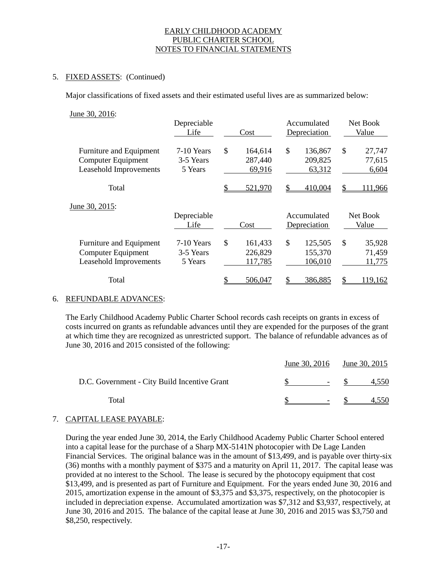## 7. CAPITAL LEASE PAYABLE: (Continued)

The Early Childhood Academy Public Charter School is committed under this capital lease to make future minimum payments as follows:

| Year Ending June 30,                       | Total | Principal | Interest |
|--------------------------------------------|-------|-----------|----------|
| 2017                                       | 3.750 | 3.750     |          |
| <b>Total Future Minimum Lease Payments</b> | 3.750 | 3.750     |          |

## 8. DISTRICT OF COLUMBIA PUBLIC CHARTER SCHOOL BOARD CONTRACT:

The Charter School was approved by the District of Columbia Public Charter School Board to operate a charter school in the District of Columbia. The District of Columbia Public Charter School Board (DCPCSB) is responsible for the ongoing oversight of the Schools fiscal management and academic acceptability. The contract dated September 2, 2005, provides for a 15-year charter effective the date of first operation. If not renewed, the charter contract will expire on or about January 1, 2020. The charter contract may be renewed for successive 15-year periods if the DCPCSB deems that the Early Childhood Academy Public Charter School is in compliance with its charter contract and District statutory provisions. In addition, in accordance with the Charter School Act, the DCPCSB is required to review the Early Childhood Academy Public Charter School's charter every five years, with the most recent review having occurred in 2015. The DCPCSB may revoke (or not renew) a charter school contract if a school violates applicable law, materially violates the charter contract or fails to meet the student academic achievement expectations set forth in the charter contract. Consequently, management does not anticipate non-renewal or revocation of its charter.

As part of the agreement with the DCPCSB, the Charter School may be charged a public charter school fee, which is not to exceed one percent of the total revenues (less philanthropic and investment revenues) within the annual budget to cover the costs of undertaking the ongoing administrative responsibilities of the Board. For the year ended June 30, 2016, the Charter School incurred \$49,676 in administrative fees.

The charter contract provides that Early Childhood Academy may educate up to a predetermined number of students. However, this enrollment limit may be raised upon notification to and acceptance by the DCPCSB. The Charter School enrollment ceiling for the year ended June 30, 2016, was not permitted to be greater than 300 students. Audit enrollment for the 2015/2016 year was 261 students and enrollment for the 2014/2015 year was 259 students.

#### 9. PER-PUPIL FUNDING ALLOCATION:

The School receives local funding from the District of Columbia in the form of per-pupil educational allotments and facility allotments. This funding is based on the equivalent number of full-time students and is determined annually. For the year ended June 30, 2016, the per-student rate ranged between \$9,492 and \$12,719 for the educational allotment and \$3,124 for the facility allotment. For the year ended June 30, 2015, the per-student rate ranged between \$9,492 and \$12,719 for the educational allotment and \$3,072 for the facility allotment. Additional allotments were made for Special Educational Services and Summer Schooling.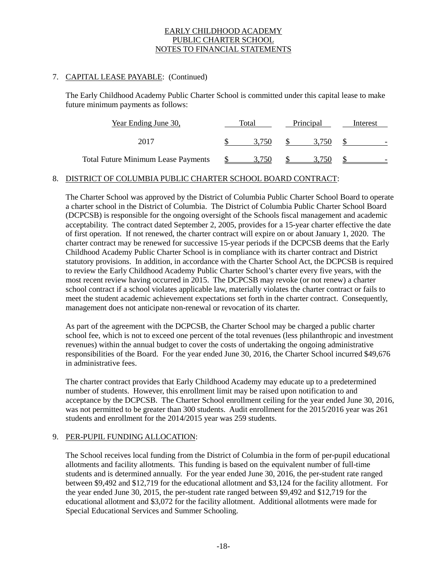#### 9. PER-PUPIL FUNDING ALLOCATION: (Continued)

Per-pupil funding for the years ended June 30, 2016 and 2015 were as follows:

|                                 | June 30, 2016  | June 30, 2015 |
|---------------------------------|----------------|---------------|
| Pre-Kindergarten - Kindergarten | 1,754,691<br>S | 1,743,491     |
| Grades 1-3                      | 1,139,040      | 1,129,548     |
| <b>Special Education</b>        | 304,938        | 298,127       |
| <b>Facilities Allowance</b>     | 843,381        | 795,648       |
| <b>At-Risk Students</b>         | 384,615        | 148,926       |
| Summer School                   |                | 322,245       |
| Total                           |                |               |

#### 10. FEDERAL ENTITLEMENTS AND GRANTS:

During the years ended June 30, 2016 and 2015, the Early Childhood Academy Public Charter School participated in the following federal awards programs:

|                                                                                | June 30, 2016            |   | June 30, 2015      |
|--------------------------------------------------------------------------------|--------------------------|---|--------------------|
| National School Food Program<br>Title I - Grants to Local Educational Agencies | \$<br>206,967<br>116,884 | S | 202,633<br>121,813 |
| Title IIA - Preparing, Training and Recruiting                                 |                          |   |                    |
| <b>High Quality Teachers and Principals</b>                                    | 29,111                   |   | 28,651             |
| <b>Donated Commodities</b>                                                     | 28,103                   |   | 11,981             |
| <b>City Build Incentive Grant</b>                                              | 4,550                    |   |                    |
| Scholarships for Opportunities and Results                                     |                          |   | 50,056             |
| Total                                                                          | 385.61:                  |   |                    |

Federal formula grants are allocations of money to States or their subdivisions in accordance with distribution formulas prescribed by law or administrative regulation, for activities of a continuing nature not confined to a specific project. The School receives federal formula grants under the provisions of the No Child Left Behind Act (NCLB) of 2001, P.L 107-110. NCLB funds are not intended to replace state or local educational funding. Rather, NCLB funds provide additional support to states, LEAs, and schools for specific purposes. Grants are provided by the U.S. Department of Education and passed through the District of Columbia Office of State Superintendent of Education.

The National School Lunch Program and School Breakfast Program are part of the child nutrition cluster of programs operated by the U.S. Department of Agriculture. The objectives of the child nutrition cluster programs are to: (1) assist States in administering food services that provide healthful, nutritious meals to eligible children in public and non-profit private schools, residential childcare institutions, and summer recreation programs; and (2) encourage the domestic consumption of nutritious agricultural commodities.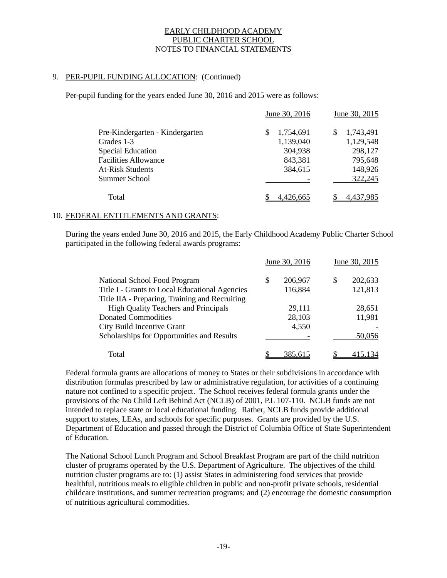#### 11. COMMITMENTS:

#### Building Leases:

The Early Childhood Academy Public Charter School entered into a lease agreement with the District of Columbia Baptist Convention effective for a one-year period commencing on July 1, 2014, and ending on June 30, 2015, for the rental of a building located at 4025 9<sup>th</sup> Street, SE, Washington, DC (Johenning Campus). This lease was renewed through the period ending June 30, 2016. This lease called for monthly lease payments of \$18,692 and a rental deposit of \$18,692. Rental expense for the years ended June 30, 2016 and 2015 was \$224,304 and \$213,622, respectively. On July 1, 2016, the Charter School signed a two-year extension of this lease for the period of July 1, 2016, through June 30, 2018.

Future required minimum lease payments at June 30, 2016, are as follows:

| Year Ended June 30, |                    |
|---------------------|--------------------|
| 2017<br>2018        | 395,808<br>403,724 |
| Total               |                    |

The Early Childhood Academy Public Charter School entered into a lease agreement with Crawford Edgewood Mangers, Inc., on June 1, 2008, effective for a one-year period commencing on July 1, 2008, and ending on June 30, 2009, for the rental of a building located at  $43019<sup>th</sup>$  Street, SE, Washington, DC (Walter Washington Campus). This lease has automatically renewed on a yearly basis through the year ended June 30, 2016. On June 27, 2016, the Charter School signed a two-year extension of this lease for the period of July 1, 2016, through June 30, 2018. This agreement also allows the Charter School to extend the lease term for an additional one-year period through June 30, 2019, if the option is exercised. This lease calls for monthly lease payments of \$14,632 and a security deposit of \$11,000. Rental expense for the years ended June 30, 2016 and 2015 was \$175,583 and \$170,471, respectively.

Future required minimum lease payments at June 30, 2016, are as follows:

| Year Ended June 30, |    |                    |
|---------------------|----|--------------------|
| 2017<br>2018        | S. | 182,606<br>191,737 |
| Total               |    | 374.343            |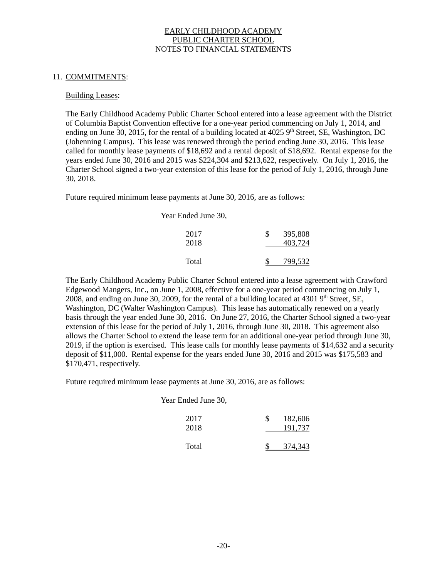#### 12. RELATED PARTY TRANSACTIONS:

#### Guarantee of Indebtedness:

The Early Childhood Academy Public Charter School utilizes a credit card issued by Capital One F.S.B. for purchases related to the organization's activity. The credit card is issued in the name of the School with a credit limit of \$30,000, however the debt is guaranteed by the Executive Director of the School. In addition, the Early Childhood Academy Public Charter School utilizes a credit card issued by American Express. The credit card has an approved limit of \$31,000, and the debt is guaranteed by the Executive Director of the School. The Charter School also utilizes a credit card issued by Costco. This card has an approved limit of \$31,000.

#### Board of Trustees:

Two of the trustees appointed to serve on the board of trustees are parents of students attending the Early Childhood Academy Public Charter School. Parent trustees are elected by a majority vote of the board members from a list of qualified individuals submitted to the board by an advisory committee.

#### 13. CONCENTRATIONS:

#### Revenues:

The Early Childhood Academy Public Charter School receives public funds from the DC government based on the number of students they enroll according to the Uniform Per Student Funding Formula developed by the Mayor and City Council. This per pupil allocation is supplemented with extra funds for students with special needs. During the years ended June 30, 2016 and 2015, eighty-seven percent (87%) and eighty-eight percent (88%), respectively, of total support was received from the District of Columbia in the form of per pupil funding.

In addition to the revenue received through the Uniform Per Student Funding, the Early Childhood Academy Public Charter School receives state and federal grants awarded under the auspices of the U.S. Department of Education (No Child Left Behind and special education) as well as the U.S. Department of Agriculture (Child Nutrition). The Charter School is entitled to receive these funds by virtue of its recognition as a Local Education Agency by the District of Columbia Public Charter School Board (DC PCSB).

The Early Childhood Academy Public Charter School is limited to enrolling students that are residents of the District of Columbia. As a DC Public Charter School, the School must compete for students against the DC Public School system as well as other DC Public Charter Schools.

#### 14. CONTINGENCIES:

The Early Childhood Academy Public Charter School was granted its charter by the District of Columbia Public Charter School Board, authorized under the District of Columbia School Reform Act of 1995, Public Law 104-134, as amended. The Early Childhood Academy has no reason to believe that this relationship will be discontinued in the foreseeable future. However, any interruption of this relationship (i.e., the failure to continue this charter authorization or withholding of funds) could adversely affect the School's ability to finance ongoing operations.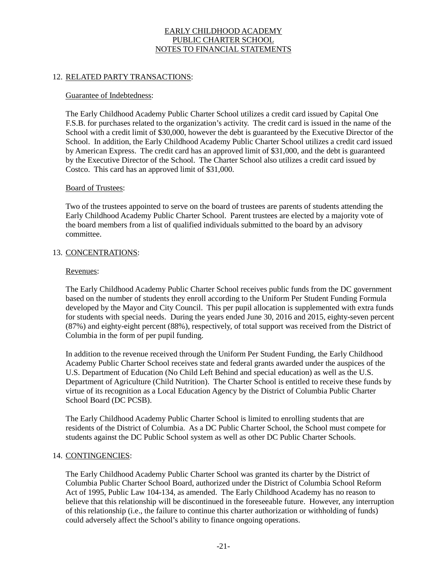#### 14. CONTINGENCIES: (Continued)

The School depends on per pupil allocations, grants, and contributions for a significant portion of its revenues. The ability of the sources of revenues to continue giving amounts comparable with prior years may be dependent upon future economic conditions and continued deductibility for income tax purposes of grants and contributions to the School. While the School's board of trustees and management believes the School has the resources to continue its programs, its ability to do so, and the extent to which it continues, may be dependent on the above factors.

Laws and regulations governing charter schools are complex and subject to interpretation. For instance, the Charter School receives funding from various federal and state grant reimbursement programs, which are governed by various rules and regulations of the respective grantor agencies. To the extent that the Charter School has not complied with the rules and regulations governing the grants, refunds of any money received may be required. The Charter School believes that it is in compliance with all applicable laws and regulations and is not aware of any pending or threatened investigations involving allegations of potential wrongdoing. Therefore, no provision has been recorded in the accompanying financial statements for such contingencies.

The viability of public charter schools and funding for these schools is dependent on the consensus of current and future administration of the District of Columbia Government. Any future change in dynamics could adversely affect the operation of public charter schools.

#### 15. SUBSEQUENT EVENTS:

#### Financial Statement Preparation:

In preparing these financial statements, management has evaluated events and transactions for potential recognition or disclosure through September 9, 2016, the date the financial statements were available to be issued, and has determined that no adjustments are necessary to the amounts reported in the accompanying financial statements.

#### 16. FUNDRAISING:

During the years ended June 30, 2016 and 2015, expenses incurred for the purpose of fundraising were \$4,018 and \$4,038, respectively.

#### 17. ADVERTISING COSTS:

Marketing activities were conducted for the purpose of promoting open enrollment to the school and to provide outreach to the community. Advertising and marketing costs are expensed when incurred. Advertising and marketing expenses were \$9,029 and \$7,936 for the years ended June 30, 2016 and 2015, respectively.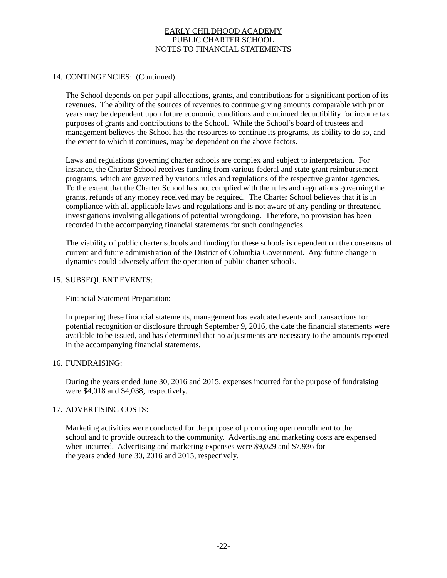#### 18. EMPLOYEE BENEFITS:

The cost of fringe benefits incurred consisted of the following:

|                                    | June 30, 2016 | June 30, 2015 |
|------------------------------------|---------------|---------------|
| Social Security/Medicare           | \$<br>188,205 | \$<br>182,982 |
| <b>Health and Dental Insurance</b> | 172,413       | 134,371       |
| Retirement                         | 81,976        | 68,630        |
| Life                               | 4,042         | 3,858         |
| Disability                         | 19,352        | 18,569        |
| Unemployment                       | 26,469        | 32,856        |
| <b>Workers Compensation</b>        | 17,774        | 15,408        |
| De Minimis                         | 9,430         | 13,937        |
| <b>Benefit Fees</b>                | 3,935         | 5,150         |
| Total                              | \$<br>523.596 | 475.7         |

#### Flexible Benefits Plan:

The Early Childhood Academy Public Charter School adopted a Section 125 Flexible Benefits Plan (Cafeteria Plan). Under this plan, employees are permitted to use pre-tax benefit dollars through payroll deduction to pay for health and dental insurance premiums and dependent childcare.

#### Transportation Plan:

The Early Childhood Academy Public Charter School adopted a Section 132(f) Commuter Expense Reimbursement Plan. Under this plan, employees receive reimbursement for commuting to and from work on a tax favored (pre-tax) basis. The Charter School reimburses for commuter vehicle expense and transit passes.

#### 19. RETIREMENT PLAN:

#### 403(b) Retirement Plan:

The Early Childhood Academy Public Charter School provides pension benefits for its employees through a defined contribution 403(b) retirement plan which is currently administered by Principal Financial Group. In a defined contribution plan, benefits depend solely on amounts contributed to the plan plus investment earnings. Provisions of the plan allow for employees to contribute up to the statutory limits set by the Internal Revenue Code. On the plan effective date, which was September 1, 2007, all current employees were eligible to participate in the retirement plan. All future employees will be eligible to participate upon hiring. Plan provisions call for a dollar for dollar match up to six percent (6%). Plan provisions and contribution requirements are established and may be amended by the board members of the School. There is no unfunded past service liability. The amount of employer contributions for the years ended June 30, 2016 and 2015 were \$67,066 and \$59,071, respectively.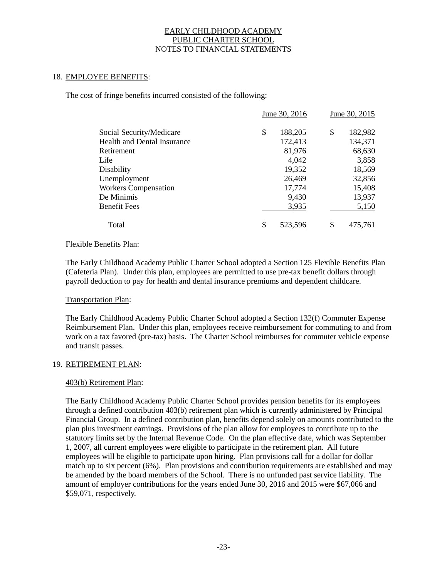#### 19. RETIREMENT PLAN: (Continued)

#### Teachers Retirement Plan:

As authorized by the Title 38 of the Code of the District of Columbia, teachers of the DC Public School System may participate in a defined benefit plan named the "Teacher's Retirement Plan". The District of Columbia Retirement Board (DCRB) is responsible for paying benefits attributable to teacher service.

An employee may elect to remain in the Teacher's Retirement Plan if that individual leaves employment with the District of Columbia Public School system and becomes an employee of a DC Public Charter School provided the election is made within 60 days of departure. To remain in the plan, the teacher must make the required employee retirement contributions and the school must make the match contributions that the District Government would have made to the plan. Employee contributions of 7% of annual salary are required to be made on a pre-tax basis to the plan. The amount of employer contributions for the years ended June 30, 2016 and 2015, was \$14,910 and \$9,559, respectively.

#### 20. OCCUPANCY COST

The cost of occupancy for the years ended June 30, 2016 and 2015 consisted of the following:

|                                     | June 30, 2016        | June 30, 2015 |
|-------------------------------------|----------------------|---------------|
| Rent                                | \$<br>400,937        | \$<br>384,093 |
| <b>Utilities</b>                    | 38,683               | 33,192        |
| <b>Security Monitoring</b>          | 2,165                | 485           |
| <b>Cleaning Supplies</b>            | 11,472               | 12,634        |
| <b>Building Repairs</b>             | 6,736                | 5,280         |
| Depreciation                        | 5,171                | 7,037         |
| <b>Contracted Building Services</b> | 74,218               | 71,058        |
| Total                               | \$<br><u>539,382</u> | 513.779       |

#### 21. OTHER MATTERS

On April 25, 2016, the Charter School signed a letter of intent related to a lease-to-own agreement for the building and land located at 885 Barnaby Street, SE. Rent Commencement is schedule to commence on June 1, 2018 for the period of twenty-two (22) years. Rent during the initial lease period is \$57,500 per month. This rate will escalate by the same percentage increase as the facilities allowance is increased and will take effect the first rental period following receipt by the Charter School of the increased amount of funding. At rent commencement the Charter School will be responsible for real estate taxes, property insurance, utilities and operating expenses. As of June 30, 2016, the Charter School paid \$50,000 for pre-development costs. The Charter School may elect not to purchase the property and as a result the rental rate would be adjusted at the 11th year of the lease term to the then market rate.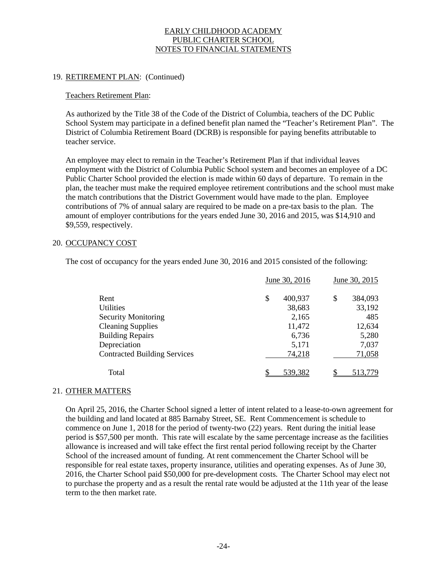#### EARLY CHILDHOOD ACADEMY PUBLIC CHARTER SCHOOL COMPARATIVE STATEMENTS OF FUNCTIONAL EXPENSES FOR THE YEARS ENDED JUNE 30, 2016 AND 2015

|                                                  | June 30, 2016 |           |               |                         |               |                               | June 30, 2015 |             |                           |           |              |                         |              |                               |               |             |
|--------------------------------------------------|---------------|-----------|---------------|-------------------------|---------------|-------------------------------|---------------|-------------|---------------------------|-----------|--------------|-------------------------|--------------|-------------------------------|---------------|-------------|
|                                                  |               | Total     |               | Educational<br>Services |               | General and<br>Administrative |               | Fundraising |                           | Total     |              | Educational<br>Services |              | General and<br>Administrative |               | Fundraising |
| Personnel, Salaries and Benefits:                |               |           |               |                         |               |                               |               |             |                           |           |              |                         |              |                               |               |             |
| Principal/Executive Salaries                     | $\mathcal{S}$ | 273,602   | $\mathbb{S}$  | 215,924                 | \$            | 54,942                        | $\mathcal{S}$ | 2,736       | $\boldsymbol{\mathsf{S}}$ | 273,284   | $\mathbb{S}$ | 215,649                 | \$           | 54,902                        | $\mathcal{S}$ | 2,733       |
| Teachers' Salaries                               |               | 925,031   |               | 919,071                 |               | 5,960                         |               |             |                           | 995,766   |              | 988,171                 |              | 7,595                         |               |             |
| Teachers' Aides/Assistants' Salaries             |               | 440,896   |               | 440,896                 |               |                               |               |             |                           | 370,140   |              | 370,140                 |              |                               |               |             |
| <b>Other Educational Professional Salaries</b>   |               | 233,182   |               | 209,864                 |               | 23,318                        |               |             |                           | 181,179   |              | 163,801                 |              | 17,378                        |               |             |
| <b>Substitute Teacher Salaries</b>               |               | 753       |               | 753                     |               |                               |               |             |                           | 21,000    |              | 21,000                  |              |                               |               |             |
| <b>Clerical Salaries</b>                         |               | 155,225   |               | 155,225                 |               |                               |               |             |                           | 102,488   |              | 102,488                 |              |                               |               |             |
| <b>Custodial/Food Service Staff</b>              |               | 105,145   |               | 86,472                  |               | 18,673                        |               |             |                           | 98,361    |              | 80,382                  |              | 17,979                        |               |             |
| <b>Before and After Care Salaries</b>            |               | 178,991   |               | 178,991                 |               |                               |               |             |                           | 184,889   |              | 184,889                 |              |                               |               |             |
| <b>Business Operation Salaries</b>               |               | 280,990   |               | 109,071                 |               | 171,919                       |               |             |                           | 302,349   |              | 128,671                 |              | 173,678                       |               |             |
| <b>Employee Benefits</b>                         |               | 308,922   |               | 275,866                 |               | 32,730                        |               | 326         |                           | 259,923   |              | 231,740                 |              | 27,902                        |               | 281         |
| <b>Payroll Taxes</b>                             |               | 214,674   |               | 191,703                 |               | 22,745                        |               | 226         |                           | 215,838   |              | 192,435                 |              | 23,170                        |               | 233         |
| <b>Staff Development Costs</b>                   |               | 55,596    |               | 49,699                  |               | 5,897                         |               |             |                           | 73,385    |              | 67,863                  |              | 5,522                         |               |             |
| Total Personnel, Salaries and Benefits           |               | 3,173,007 |               | 2,833,535               |               | 336,184                       |               | 3,288       |                           | 3,078,602 |              | 2,747,229               |              | 328,126                       |               | 3,247       |
| Direct Student Costs:                            |               |           |               |                         |               |                               |               |             |                           |           |              |                         |              |                               |               |             |
| Food Service                                     | $\mathcal{S}$ | 251,973   | $\mathcal{S}$ | 251,973                 | $\mathcal{S}$ |                               | $\mathbb{S}$  |             | $\mathbb{S}$              | 229,061   | $\mathbb{S}$ | 229,061                 | \$           |                               | $\mathcal{S}$ |             |
| <b>Student Supplies and Materials</b>            |               | 116,353   |               | 116,353                 |               |                               |               |             |                           | 127,522   |              | 127,522                 |              |                               |               |             |
| <b>Contracted Instructional/Student Services</b> |               | 143,073   |               | 143,073                 |               |                               |               |             |                           | 139,819   |              | 139,819                 |              |                               |               |             |
| Transportation                                   |               | 33,435    |               | 33,435                  |               |                               |               |             |                           | 29,930    |              | 29,930                  |              |                               |               |             |
| <b>Other Student Costs</b>                       |               | 23,987    |               | 23,987                  |               |                               |               |             |                           | 19,038    |              | 19,038                  |              |                               |               |             |
| <b>Total Direct Student Costs</b>                |               | 568,821   |               | 568,821                 |               |                               |               |             |                           | 545,370   |              | 545,370                 |              |                               |               |             |
| <b>Occupancy Costs:</b>                          |               |           |               |                         |               |                               |               |             |                           |           |              |                         |              |                               |               |             |
| Rent                                             | $\mathbb{S}$  | 400,937   | $\mathbb{S}$  | 358,035                 | $\mathbb{S}$  | 42,479                        | $\mathbb{S}$  | 423         | $\mathbb{S}$              | 384,093   | $\mathbb{S}$ | 342,446                 | $\mathbb{S}$ | 41,232                        | $\mathcal{S}$ | 415         |
| <b>Utilities</b>                                 |               | 40,848    |               | 36,476                  |               | 4,329                         |               | 43          |                           | 33,677    |              | 30,025                  |              | 3,616                         |               | 36          |
| <b>Cleaning and Maintenance</b>                  |               | 18,208    |               | 16,260                  |               | 1,929                         |               | 19          |                           | 17,914    |              | 15,972                  |              | 1,923                         |               | 19          |
| Depreciation                                     |               | 5,171     |               | 4,618                   |               | 548                           |               | 5           |                           | 7,037     |              | 6,274                   |              | 755                           |               | 8           |
| <b>Contracted Building Services</b>              |               | 74,218    |               | 66,276                  |               | 7,863                         |               | 79          |                           | 71,058    |              | 63,353                  |              | 7,628                         |               | 77          |
| <b>Total Occupancy Costs</b>                     |               | 539,382   |               | 481,665                 |               | 57,148                        |               | 569         |                           | 513,779   |              | 458,070                 |              | 55,154                        |               | 555         |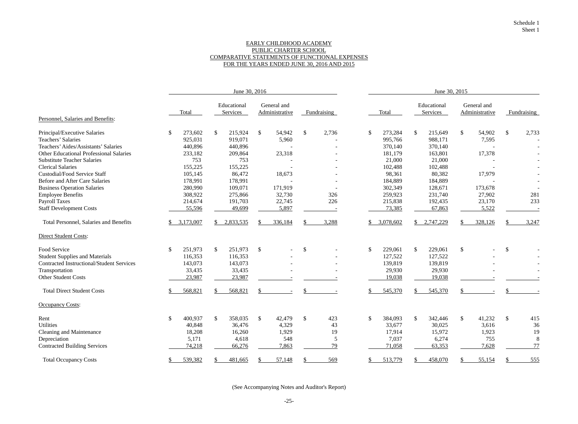## EARLY CHILDHOOD ACADEMY PUBLIC CHARTER SCHOOL COMPARATIVE STATEMENTS OF FUNCTIONAL EXPENSES FOR THE YEARS ENDED JUNE 30, 2016 AND 2015

|                                         | June 30, 2016             |           |               |                         |               | June 30, 2015                 |               |             |                           |           |              |                         |               |                               |                         |                |
|-----------------------------------------|---------------------------|-----------|---------------|-------------------------|---------------|-------------------------------|---------------|-------------|---------------------------|-----------|--------------|-------------------------|---------------|-------------------------------|-------------------------|----------------|
|                                         |                           | Total     |               | Educational<br>Services |               | General and<br>Administrative |               | Fundraising |                           | Total     |              | Educational<br>Services |               | General and<br>Administrative |                         | Fundraising    |
| Office Expenses:                        |                           |           |               |                         |               |                               |               |             |                           |           |              |                         |               |                               |                         |                |
| <b>Office Supplies and Materials</b>    | $\mathbb{S}$              | 10,535    | $\mathcal{S}$ | 9,409                   | $\mathcal{S}$ | 1,115                         | $\mathcal{S}$ | 11          | $\boldsymbol{\mathsf{S}}$ | 13,389    | \$           | 11,938                  | $\mathcal{S}$ | 1,437                         | $\sqrt[6]{\frac{1}{2}}$ | 14             |
| Consulting                              |                           | 95,647    |               | 84,244                  |               | 11,403                        |               |             |                           | 6,239     |              | 3,485                   |               | 2,750                         |                         |                |
| <b>Equipment Rental and Maintenance</b> |                           | 376       |               | 335                     |               | 41                            |               |             |                           | 1,128     |              | 1,006                   |               | 121                           |                         |                |
| Telecommunications                      |                           | 34,964    |               | 31,223                  |               | 3,704                         |               | 37          |                           | 39,749    |              | 35,439                  |               | 4,267                         |                         | 43             |
| Postage and Shipping                    |                           | 418       |               | 374                     |               | 44                            |               |             |                           | 1,306     |              | 1,165                   |               | 140                           |                         |                |
| Printing and Copying                    |                           | 9,192     |               | 8,207                   |               | 975                           |               | 10          |                           | 10,261    |              | 9,148                   |               | 1,102                         |                         | 11             |
| Marketing and Promotion                 |                           | 9,029     |               | 9,029                   |               |                               |               |             |                           | 7,936     |              | 7,936                   |               |                               |                         |                |
| <b>Total Office Expenses</b>            |                           | 160,161   |               | 142,821                 |               | 17,282                        |               | 58          |                           | 80,008    |              | 70,117                  |               | 9,817                         |                         | 74             |
| General Expenses:                       |                           |           |               |                         |               |                               |               |             |                           |           |              |                         |               |                               |                         |                |
| Insurance                               | $\boldsymbol{\mathsf{S}}$ | 19,608    | $\mathbb{S}$  | 17,529                  | $\mathbb{S}$  | 2,079                         | $\mathcal{S}$ |             | $\boldsymbol{\mathsf{S}}$ | 19,029    | $\mathbb{S}$ | 16,966                  | $\mathbb{S}$  | 2,042                         | $\sqrt[6]{\frac{1}{2}}$ | 21             |
| Licenses and Fees                       |                           | 2,289     |               | 2,044                   |               | 243                           |               | 2           |                           | 1,389     |              | 1,238                   |               | 149                           |                         | $\overline{2}$ |
| Accounting and Legal Services           |                           | 23,888    |               |                         |               | 23,888                        |               |             |                           | 19,790    |              | 17,645                  |               | 2,124                         |                         | 21             |
| Payroll Service Fees                    |                           | 18,005    |               | 16,079                  |               | 1,907                         |               | 19          |                           | 14,843    |              | 13,234                  |               | 1,593                         |                         | 16             |
| <b>Administrative Fees</b>              |                           | 49,676    |               | 44,407                  |               | 5,269                         |               |             |                           | 49,825    |              | 44,471                  |               | 5,354                         |                         |                |
| Depreciation                            |                           | 65,817    |               | 58,774                  |               | 6,973                         |               | 70          |                           | 73,557    |              | 65,582                  |               | 7,896                         |                         | 79             |
| Dues and Subscriptions                  |                           | 16,791    |               | 15,010                  |               | 1,781                         |               |             |                           | 14,724    |              | 13,127                  |               | 1,581                         |                         | 16             |
| Office Expense                          |                           | 10,859    |               | 9,697                   |               | 1,150                         |               | 12          |                           | 6,313     |              | 5,628                   |               | 678                           |                         | $\mathbf{r}$   |
| <b>Total General Expenses</b>           |                           | 206,933   |               | 163,540                 |               | 43,290                        |               | 103         |                           | 199,470   |              | 177,891                 |               | 21,417                        |                         | 162            |
| TOTAL FUNCTIONAL EXPENSES               |                           | 4,648,304 |               | 4,190,382               |               | 453,904                       |               | 4,018       | \$                        | 4,417,229 |              | \$3,998,677             |               | 414,514                       |                         | 4,038          |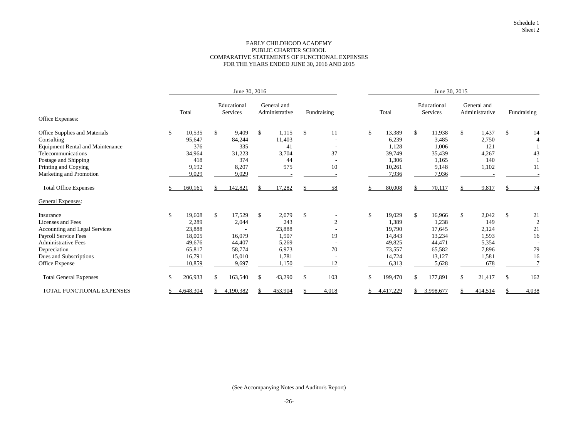#### EARLY CHILDHOOD ACADEMY PUBLIC CHARTER SCHOOL COMPARATIVE SCHEDULES OF AVERAGE COST PER STUDENT FOR THE YEARS ENDED JUNE 30, 2016 AND 2015

#### June 30, 2016

|                            | <b>Total Cost</b> | <b>Average Cost</b><br>Per Student |        |  |  |  |  |
|----------------------------|-------------------|------------------------------------|--------|--|--|--|--|
| Instructional              | 3,708,717<br>S.   | S                                  | 14,210 |  |  |  |  |
| <b>Occupancy Cost</b>      | 539,382           |                                    | 2,067  |  |  |  |  |
| General and Administrative | 396,756           |                                    | 1,520  |  |  |  |  |
| Fundraising                | 3,449             |                                    | 13     |  |  |  |  |
| Total                      | 4.648.304         |                                    | '.810  |  |  |  |  |

The above is the average per student cost for the year ended June 30, 2016, and is based on a full time equivalent (FTE) enrollment of 261 students.

#### June 30, 2015

|                            | <b>Total Cost</b> | <b>Average Cost</b><br>Per Student |        |  |  |  |
|----------------------------|-------------------|------------------------------------|--------|--|--|--|
| Instructional              | 3,540,607<br>S    | S                                  | 13,670 |  |  |  |
| <b>Occupancy Cost</b>      | 513,779           |                                    | 1,984  |  |  |  |
| General and Administrative | 359,360           |                                    | 1,387  |  |  |  |
| Fundraising                | 3,483             |                                    | 13     |  |  |  |
| Total                      | 4,417,229         |                                    | .7.054 |  |  |  |

The above is the average per student cost for the year ended June 30, 2015, and is based on a full time equivalent (FTE) enrollment of 259 students.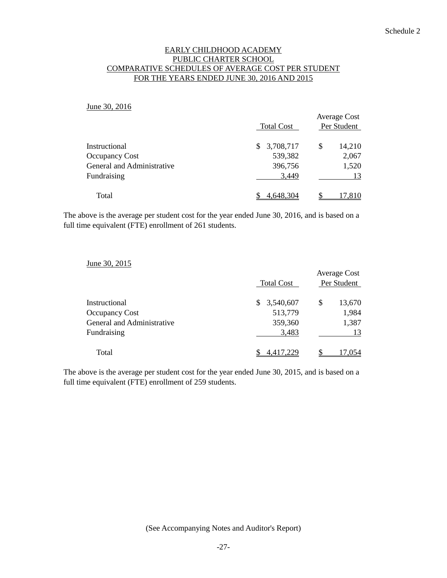Board of Trustees Early Childhood Academy Public Charter School 4025 9th Street, SE Washington, DC 20032

## INDEPENDENT AUDITOR'S REPORT ON INTERNAL CONTROL OVER FINANCIAL REPORTING AND ON COMPLIANCE AND OTHER MATTERS BASED ON AN AUDIT OF FINANCIAL STATEMENTS PERFORMED IN ACCORDANCE WITH *GOVERNMENT AUDITING STANDARDS*

We have audited, in accordance with auditing standards generally accepted in the United States of America and the standards applicable to financial audits contained in *Government Auditing Standards*, issued by the Comptroller General of the United States, the financial statements of the Early Childhood Academy Public Charter School (a nonprofit organization), which comprise the statement of financial position as of June 30, 2016, and the related statements of activities and cash flows for the year then ended, and the related notes to the financial statements, and have issued our report thereon dated September 9, 2016.

## *Internal Control Over Financial Reporting*

In planning and performing our audit of the financial statements, we considered the Early Childhood Academy Public Charter School's internal control over financial reporting (internal control) to determine the audit procedures that are appropriate in the circumstances for the purpose of expressing our opinion on the financial statements, but not for the purpose of expressing an opinion on the effectiveness of the Early Childhood Academy Public Charter School's internal control. Accordingly, we do not express an opinion on the effectiveness of the Early Childhood Academy Public Charter School's internal control.

A *deficiency in internal control* exists when the design or operation of a control does not allow management or employees, in the normal course of performing their assigned functions, to prevent, or detect and correct, misstatements on a timely basis. A *material weakness* is a deficiency, or a combination of deficiencies, in internal control, such that there is a reasonable possibility that a material misstatement of the entity's financial statements will not be prevented, or detected and corrected on a timely basis. A *significant deficiency* is a deficiency, or a combination of deficiencies, in internal control that is less severe than a material weakness, yet important enough to merit attention by those charged with governance.

Our consideration of internal control was for the limited purpose described in the first paragraph of this section and was not designed to identify all deficiencies in internal control that might be material weaknesses or significant deficiencies. Given these limitations, during our audit we did not identify any deficiencies in internal control that we consider to be material weaknesses. However, material weaknesses may exist that have not been identified.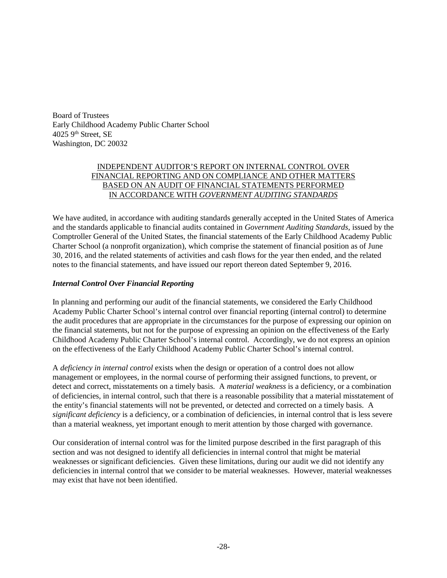## *Compliance and Other Matters*

As part of obtaining reasonable assurance about whether the Early Childhood Academy Public Charter School's financial statements are free from material misstatement, we performed tests of its compliance with certain provisions of laws, regulations, contracts and grant agreements, noncompliance with which could have a direct and material effect on the determination of financial statement amounts. However, providing an opinion on compliance with those provisions was not an objective of our audit and accordingly, we do not express such an opinion. The results of our tests disclosed no instances of noncompliance or other matters that are required to be reported under *Government Auditing Standards*.

## *Purpose of this Report*

The purpose of this report is solely to describe the scope of our testing of internal control and compliance and the results of that testing, and not to provide an opinion on the effectiveness of the entity's internal control or on compliance. This report is an integral part of an audit performed in accordance with *Government Auditing Standards* in considering the organization's internal control and compliance. Accordingly, this communication is not suitable for any other purpose.

> Kendall, Prebola and Jones Certified Public Accountants

Bedford, Pennsylvania September 9, 2016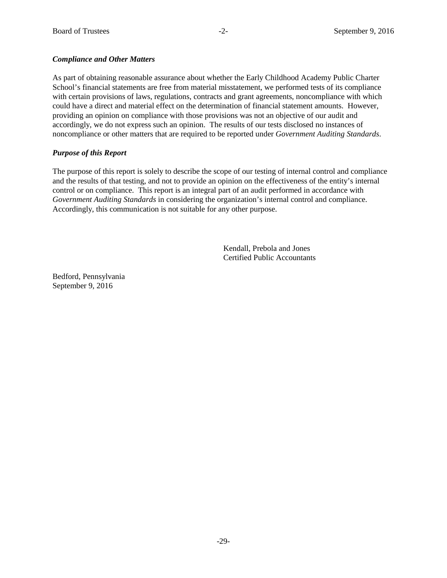## EARLY CHILDHOOD ACADEMY PUBLIC CHARTER SCHOOL SUMMARY SCHEDULE OF PRIOR AUDIT FINDINGS FOR THE YEAR ENDED JUNE 30, 2016

## FINDINGS - FINANCIAL STATEMENT AUDIT

There were no audit findings in the prior year.